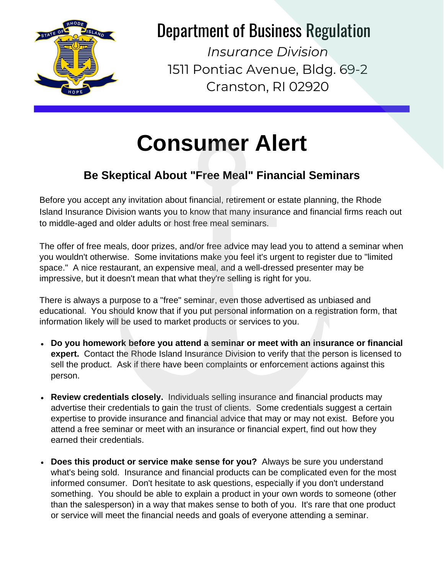

## Department of Business Regulation

*Insurance Division* 1511 Pontiac Avenue, Bldg. 69-2 Cranston, RI 02920

## **Consumer Alert**

## **Be Skeptical About "Free Meal" Financial Seminars**

Before you accept any invitation about financial, retirement or estate planning, the Rhode Island Insurance Division wants you to know that many insurance and financial firms reach out to middle-aged and older adults or host free meal seminars.

The offer of free meals, door prizes, and/or free advice may lead you to attend a seminar when you wouldn't otherwise. Some invitations make you feel it's urgent to register due to "limited space." A nice restaurant, an expensive meal, and a well-dressed presenter may be impressive, but it doesn't mean that what they're selling is right for you.

There is always a purpose to a "free" seminar, even those advertised as unbiased and educational. You should know that if you put personal information on a registration form, that information likely will be used to market products or services to you.

- **Do you homework before you attend a seminar or meet with an insurance or financial expert.** Contact the Rhode Island Insurance Division to verify that the person is licensed to sell the product. Ask if there have been complaints or enforcement actions against this person.
- **Review credentials closely.** Individuals selling insurance and financial products may advertise their credentials to gain the trust of clients. Some credentials suggest a certain expertise to provide insurance and financial advice that may or may not exist. Before you attend a free seminar or meet with an insurance or financial expert, find out how they earned their credentials.
- **Does this product or service make sense for you?** Always be sure you understand what's being sold. Insurance and financial products can be complicated even for the most informed consumer. Don't hesitate to ask questions, especially if you don't understand something. You should be able to explain a product in your own words to someone (other than the salesperson) in a way that makes sense to both of you. It's rare that one product or service will meet the financial needs and goals of everyone attending a seminar.